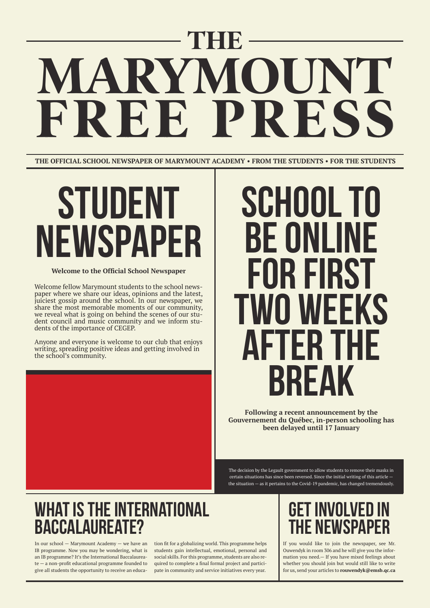# **STUDENT NEWSPAPER**

## **SCHOOL TO BE 01 FOR FIRST TWO weeks AFTER THE BREAK**

## **What is the International Baccalaureate?**

## **Get involved IN THE NEWSPAPER**

# **THE WAMPER AND POST OF A SET OF A SET OF A SET OF A SET OF A SET OF A SET OF A SET OF A SET OF A SET OF A FREE PRESS**

Welcome fellow Marymount students to the school newspaper where we share our ideas, opinions and the latest, juiciest gossip around the school. In our newspaper, we share the most memorable moments of our community, we reveal what is going on behind the scenes of our student council and music community and we inform students of the importance of CEGEP.

Anyone and everyone is welcome to our club that enjoys writing, spreading positive ideas and getting involved in the school's community.

In our school — Marymount Academy — we have an IB programme. Now you may be wondering, what is an IB programme? It's the International Baccalaureate — a non-profit educational programme founded to give all students the opportunity to receive an educa-

If you would like to join the newspaper, see Mr. Ouwendyk in room 306 and he will give you the information you need.— If you have mixed feelings about whether you should join but would still like to write for us, send your articles to **rouwendyk@emsb.qc.ca**

tion fit for a globalizing world. This programme helps students gain intellectual, emotional, personal and social skills. For this programme, students are also required to complete a final formal project and participate in community and service initiatives every year.

**Following a recent announcement by the Gouvernement du Québec, in-person schooling has been delayed until 17 January**

### **Welcome to the Official School Newspaper**

**THE OFFICIAL SCHOOL NEWSPAPER OF MARYMOUNT ACADEMY • FROM THE STUDENTS • FOR THE STUDENTS**

The decision by the Legault government to allow students to remove their masks in certain situations has since been reversed. Since the initial writing of this article the situation — as it pertains to the Covid-19 pandemic, has changed tremendously.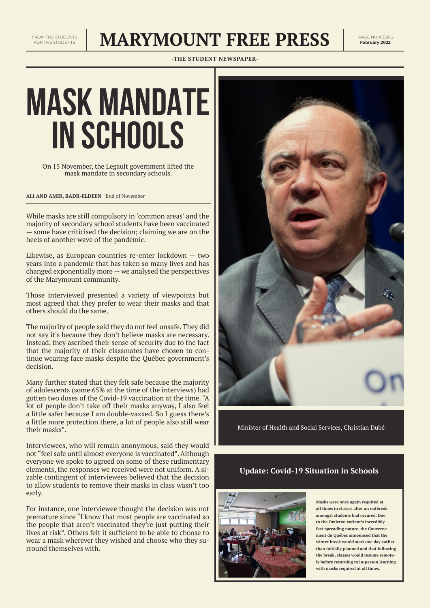## **MARYMOUNT FREE PRESS** PAGE NUMBER 2

**-THE STUDENT NEWSPAPER-**

# **MASK MANDATE IN SCHOOLS**

On 15 November, the Legault government lifted the mask mandate in secondary schools.

While masks are still compulsory in 'common areas' and the majority of secondary school students have been vaccinated — some have criticised the decision; claiming we are on the heels of another wave of the pandemic.

Likewise, as European countries re-enter lockdown — two years into a pandemic that has taken so many lives and has changed exponentially more — we analysed the perspectives of the Marymount community.

Those interviewed presented a variety of viewpoints but most agreed that they prefer to wear their masks and that others should do the same.

The majority of people said they do not feel unsafe. They did not say it's because they don't believe masks are necessary. Instead, they ascribed their sense of security due to the fact that the majority of their classmates have chosen to continue wearing face masks despite the Québec government's decision.

Many further stated that they felt safe because the majority of adolescents (some 65% at the time of the interviews) had gotten two doses of the Covid-19 vaccination at the time. "A lot of people don't take off their masks anyway, I also feel a little safer because I am double-vaxxed. So I guess there's a little more protection there, a lot of people also still wear their masks".

Interviewees, who will remain anonymous, said they would not "feel safe until almost everyone is vaccinated". Although everyone we spoke to agreed on some of these rudimentary elements, the responses we received were not uniform. A sizable contingent of interviewees believed that the decision to allow students to remove their masks in class wasn't too early.



For instance, one interviewee thought the decision was not premature since "I know that most people are vaccinated so the people that aren't vaccinated they're just putting their lives at risk". Others felt it sufficient to be able to choose to wear a mask wherever they wished and choose who they surround themselves with.

Minister of Health and Social Services, Christian Dubé

**Masks were once again required at all times in classes after an outbreak amongst students had occured. Due to the Omicron variant's incredibly fast-spreading nature, the Gouvernement du Québec announced that the winter break would start one day earlier than initially planned and that following the break, classes would resume remotely before returning to in-person learning with masks required at all times.**

**ALI AND AMIR, BADR-ELDEEN** End of November

### **Update: Covid-19 Situation in Schools**

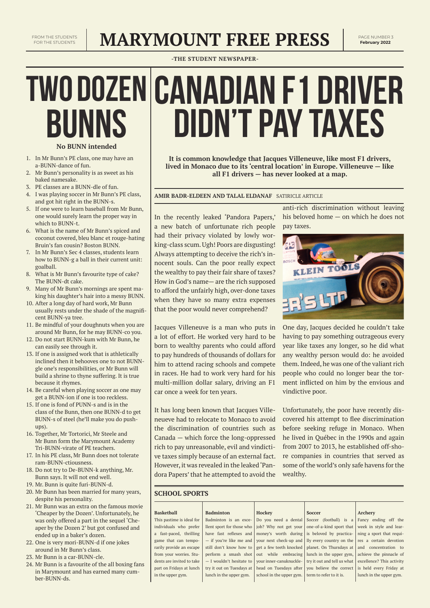## **MARYMOUNT FREE PRESS**

**-THE STUDENT NEWSPAPER-**

- 1. In Mr Bunn's PE class, one may have an a-BUNN-dance of fun.
- 2. Mr Bunn's personality is as sweet as his baked namesake.
- 3. PE classes are a BUNN-dle of fun.
- 4. I was playing soccer in Mr Bunn's PE class, and got hit right in the BUNN-s.
- 5. If one were to learn baseball from Mr Bunn, one would surely learn the proper way in which to BUNN-t.
- 6. What is the name of Mr Bunn's spiced and coconut covered, bleu blanc et rouge-hating Bruin's fan cousin? Boston BUNN.
- 7. In Mr Bunn's Sec 4 classes, students learn how to BUNN-g a ball in their current unit: goalball.
- 8. What is Mr Bunn's favourite type of cake? The BUNN-dt cake.
- 9. Many of Mr Bunn's mornings are spent making his daughter's hair into a messy BUNN.
- 10. After a long day of hard work, Mr Bunn usually rests under the shade of the magnificent BUNN-ya tree.
- 11. Be mindful of your doughnuts when you are around Mr Bunn, for he may BUNN-co you.
- 12. Do not start BUNN-kum with Mr Bunn, he can easily see through it.
- 13. If one is assigned work that is athletically inclined then it behooves one to not BUNNgle one's responsibilities, or Mr Bunn will build a shrine to thyne suffering. It is true because it rhymes.
- 14. Be careful when playing soccer as one may get a BUNN-ion if one is too reckless.
- 15. If one is fond of PUNN-s and is in the class of the Bunn, then one BUNN-d to get BUNN-s of steel (he'll make you do pushups).
- 16. Together, Mr Tortorici, Mr Steele and Mr Bunn form the Marymount Academy Tri-BUNN-virate of PE teachers.
- 17. In his PE class, Mr Bunn does not tolerate

ram-BUNN-ctiousness.

18. Do not try to De-BUNN-k anything, Mr.

Bunn says. It will not end well.

- 19. Mr. Bunn is quite furi-BUNN-d.
- 20. Mr Bunn has been married for many years, despite his personality.
- 21. Mr Bunn was an extra on the famous movie 'Cheaper by the Dozen'. Unfortunately, he was only offered a part in the sequel 'Cheaper by the Dozen 2' but got confused and ended up in a baker's dozen.
- 22. One is very mori-BUNN-d if one jokes around in Mr Bunn's class.
- 23. Mr Bunn is a car-BUNN-cle.
- 24. Mr Bunn is a favourite of the all boxing fans in Marymount and has earned many cumber-BUNN-ds.

## $T$ **WO DOZEN CANADIAN F1 DRIVER didn't pay taxes BUNNS**

**It is common knowledge that Jacques Villeneuve, like most F1 drivers, lived in Monaco due to its 'central location' in Europe. Villeneuve — like all F1 drivers — has never looked at a map.**

In the recently leaked 'Pandora Papers,' a new batch of unfortunate rich people had their privacy violated by lowly working-class scum. Ugh! Poors are disgusting! Always attempting to deceive the rich's innocent souls. Can the poor really expect the wealthy to pay their fair share of taxes? How in God's name— are the rich supposed to afford the unfairly high, over-done taxes when they have so many extra expenses that the poor would never comprehend?

Jacques Villeneuve is a man who puts in a lot of effort. He worked very hard to be born to wealthy parents who could afford to pay hundreds of thousands of dollars for him to attend racing schools and compete in races. He had to work very hard for his multi-million dollar salary, driving an F1 car once a week for ten years.

It has long been known that Jacques Villeneueve had to relocate to Monaco to avoid the discrimination of countries such as Canada — which force the long-oppressed rich to pay unreasonable, evil and vindictive taxes simply because of an external fact.

anti-rich discrimination without leaving his beloved home — on which he does not pay taxes.



One day, Jacques decided he couldn't take having to pay something outrageous every year like taxes any longer, so he did what any wealthy person would do: he avoided them. Indeed, he was one of the valiant rich people who could no longer bear the torment inflicted on him by the envious and vindictive poor.

However, it was revealed in the leaked 'Pan-some of the world's only safe havens for the dora Papers' that he attempted to avoid the wealthy.

Unfortunately, the poor have recently discovered his attempt to flee discrimination before seeking refuge in Monaco. When he lived in Québec in the 1990s and again from 2007 to 2013, he established off-shore companies in countries that served as

**AMIR BADR-ELDEEN AND TALAL ELDANAF** SATIRICLE ARTICLE

#### **SCHOOL SPORTS**

| <b>Basketball</b>         | <b>Badminton</b>           | <b>Hockey</b>                                      | <b>Soccer</b>                                                               | <b>Archery</b>            |
|---------------------------|----------------------------|----------------------------------------------------|-----------------------------------------------------------------------------|---------------------------|
| This pastime is ideal for | Badminton is an exce-      |                                                    | Do you need a dental Soccer (football) is a                                 | Fancy ending off the      |
| individuals who prefer    | lent sport for those who   |                                                    | job? Why not get your   one-of-a-kind sport that                            | week in style and lear-   |
| a fast-paced, thrilling   | have fast reflexes and     |                                                    | money's worth during is beloved by practica-                                | ning a sport that requi-  |
| game that can tempo-      |                            |                                                    | - if you're like me and   your next check-up and   lly every country on the | res a certain devotion    |
| rarily provide an escape  |                            |                                                    | still don't know how to get a few teeth knocked   planet. On Thursdays at   | and concentration to      |
| from your worries. Stu-   |                            |                                                    | perform a smash shot out while embracing   lunch in the upper gym,          | achieve the pinnacle of   |
| dents are invited to take | - I wouldn't hesitate to I |                                                    | your inner-canuknuckle- try it out and tell us what                         | excellence? This activity |
| part on Fridays at lunch  | try it out on Tuesdays at  |                                                    | head on Tuesdays after vou believe the correct                              | is held every Friday at   |
| in the upper gym.         | lunch in the upper gym.    | school in the upper gym. I term to refer to it is. |                                                                             | lunch in the upper gym.   |
|                           |                            |                                                    |                                                                             |                           |

### **No BUNN intended**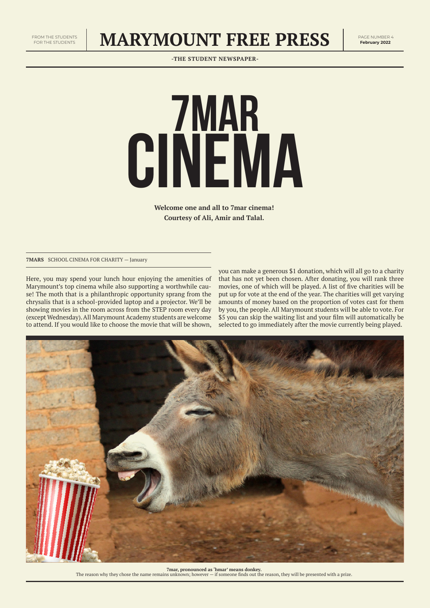## **MARYMOUNT FREE PRESS** PAGE NUMBER 4

**-THE STUDENT NEWSPAPER-**



Here, you may spend your lunch hour enjoying the amenities of Marymount's top cinema while also supporting a worthwhile cause! The moth that is a philanthropic opportunity sprang from the chrysalis that is a school-provided laptop and a projector. We'll be showing movies in the room across from the STEP room every day (except Wednesday). All Marymount Academy students are welcome to attend. If you would like to choose the movie that will be shown,

**Welcome one and all to 7mar cinema! Courtesy of Ali, Amir and Talal.**

> you can make a generous \$1 donation, which will all go to a charity that has not yet been chosen. After donating, you will rank three movies, one of which will be played. A list of five charities will be put up for vote at the end of the year. The charities will get varying amounts of money based on the proportion of votes cast for them by you, the people. All Marymount students will be able to vote. For \$5 you can skip the waiting list and your film will automatically be selected to go immediately after the movie currently being played.



**7mar, pronounced as 'hmar' means donkey.**  The reason why they chose the name remains unknown; however — if someone finds out the reason, they will be presented with a prize.

**7MARS** SCHOOL CINEMA FOR CHARITY — January